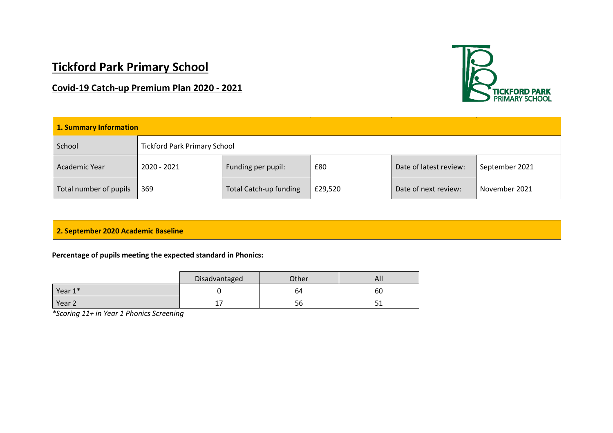# **Tickford Park Primary School**

# **Covid-19 Catch-up Premium Plan 2020 - 2021**



| 1. Summary Information |                                     |                        |         |                        |                |
|------------------------|-------------------------------------|------------------------|---------|------------------------|----------------|
| School                 | <b>Tickford Park Primary School</b> |                        |         |                        |                |
| Academic Year          | 2020 - 2021                         | Funding per pupil:     | £80     | Date of latest review: | September 2021 |
| Total number of pupils | 369                                 | Total Catch-up funding | £29,520 | Date of next review:   | November 2021  |

# **2. September 2020 Academic Baseline**

#### **Percentage of pupils meeting the expected standard in Phonics:**

|                   | Disadvantaged | Other | All              |
|-------------------|---------------|-------|------------------|
| Year 1*           |               | 64    | 60               |
| Year <sub>2</sub> | -<br>. .      | 56    | г.<br><u>. .</u> |

*\*Scoring 11+ in Year 1 Phonics Screening*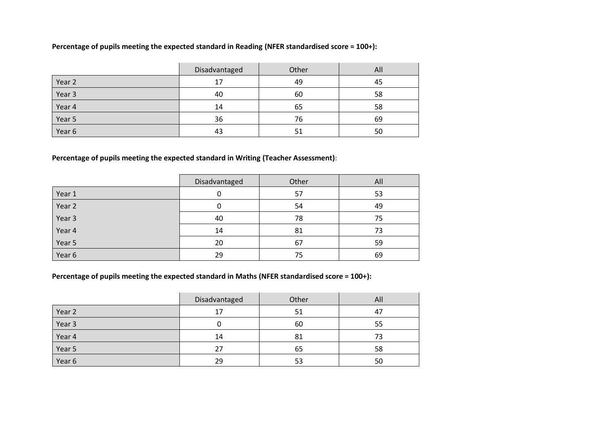# **Percentage of pupils meeting the expected standard in Reading (NFER standardised score = 100+):**

|        | Disadvantaged | Other | All |
|--------|---------------|-------|-----|
| Year 2 | 17            | 49    | 45  |
| Year 3 | 40            | 60    | 58  |
| Year 4 | 14            | 65    | 58  |
| Year 5 | 36            | 76    | 69  |
| Year 6 | 43            | 51    | 50  |

# **Percentage of pupils meeting the expected standard in Writing (Teacher Assessment)**:

|        | Disadvantaged | Other | All |
|--------|---------------|-------|-----|
| Year 1 |               | 57    | 53  |
| Year 2 |               | 54    | 49  |
| Year 3 | 40            | 78    | 75  |
| Year 4 | 14            | 81    | 73  |
| Year 5 | 20            | 67    | 59  |
| Year 6 | 29            | 75    | 69  |

**Percentage of pupils meeting the expected standard in Maths (NFER standardised score = 100+):** 

|        | Disadvantaged | Other | All |
|--------|---------------|-------|-----|
| Year 2 | 17            | 51    | 47  |
| Year 3 |               | 60    | 55  |
| Year 4 | 14            | 81    | 73  |
| Year 5 | 27            | 65    | 58  |
| Year 6 | 29            | 53    | 50  |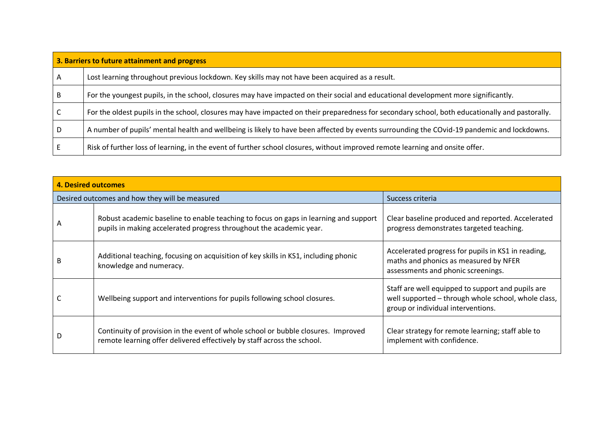| 3. Barriers to future attainment and progress |                                                                                                                                                |  |  |
|-----------------------------------------------|------------------------------------------------------------------------------------------------------------------------------------------------|--|--|
| A                                             | Lost learning throughout previous lockdown. Key skills may not have been acquired as a result.                                                 |  |  |
|                                               | For the youngest pupils, in the school, closures may have impacted on their social and educational development more significantly.             |  |  |
|                                               | For the oldest pupils in the school, closures may have impacted on their preparedness for secondary school, both educationally and pastorally. |  |  |
|                                               | A number of pupils' mental health and wellbeing is likely to have been affected by events surrounding the COvid-19 pandemic and lockdowns.     |  |  |
|                                               | Risk of further loss of learning, in the event of further school closures, without improved remote learning and onsite offer.                  |  |  |

| <b>4. Desired outcomes</b> |                                                                                                                                                              |                                                                                                                                                |  |  |
|----------------------------|--------------------------------------------------------------------------------------------------------------------------------------------------------------|------------------------------------------------------------------------------------------------------------------------------------------------|--|--|
|                            | Desired outcomes and how they will be measured                                                                                                               | Success criteria                                                                                                                               |  |  |
| A                          | Robust academic baseline to enable teaching to focus on gaps in learning and support<br>pupils in making accelerated progress throughout the academic year.  | Clear baseline produced and reported. Accelerated<br>progress demonstrates targeted teaching.                                                  |  |  |
| В                          | Additional teaching, focusing on acquisition of key skills in KS1, including phonic<br>knowledge and numeracy.                                               | Accelerated progress for pupils in KS1 in reading,<br>maths and phonics as measured by NFER<br>assessments and phonic screenings.              |  |  |
|                            | Wellbeing support and interventions for pupils following school closures.                                                                                    | Staff are well equipped to support and pupils are<br>well supported - through whole school, whole class,<br>group or individual interventions. |  |  |
| D                          | Continuity of provision in the event of whole school or bubble closures. Improved<br>remote learning offer delivered effectively by staff across the school. | Clear strategy for remote learning; staff able to<br>implement with confidence.                                                                |  |  |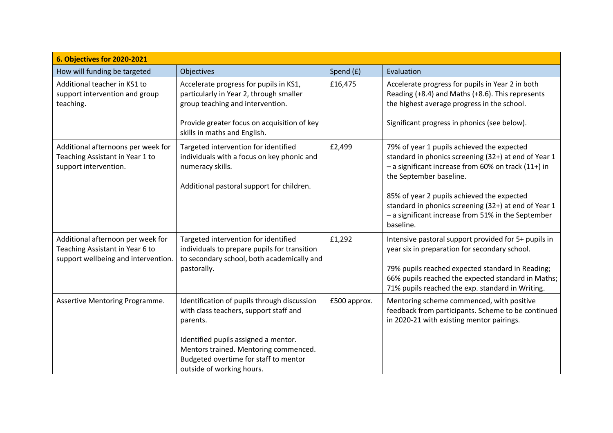| 6. Objectives for 2020-2021                                                                                 |                                                                                                                                                                                                                                                          |              |                                                                                                                                                                                                                                                                                                                                                               |  |  |
|-------------------------------------------------------------------------------------------------------------|----------------------------------------------------------------------------------------------------------------------------------------------------------------------------------------------------------------------------------------------------------|--------------|---------------------------------------------------------------------------------------------------------------------------------------------------------------------------------------------------------------------------------------------------------------------------------------------------------------------------------------------------------------|--|--|
| How will funding be targeted                                                                                | Objectives                                                                                                                                                                                                                                               | Spend (£)    | Evaluation                                                                                                                                                                                                                                                                                                                                                    |  |  |
| Additional teacher in KS1 to<br>support intervention and group<br>teaching.                                 | Accelerate progress for pupils in KS1,<br>particularly in Year 2, through smaller<br>group teaching and intervention.<br>Provide greater focus on acquisition of key<br>skills in maths and English.                                                     | £16,475      | Accelerate progress for pupils in Year 2 in both<br>Reading (+8.4) and Maths (+8.6). This represents<br>the highest average progress in the school.<br>Significant progress in phonics (see below).                                                                                                                                                           |  |  |
| Additional afternoons per week for<br>Teaching Assistant in Year 1 to<br>support intervention.              | Targeted intervention for identified<br>individuals with a focus on key phonic and<br>numeracy skills.<br>Additional pastoral support for children.                                                                                                      | £2,499       | 79% of year 1 pupils achieved the expected<br>standard in phonics screening (32+) at end of Year 1<br>- a significant increase from 60% on track (11+) in<br>the September baseline.<br>85% of year 2 pupils achieved the expected<br>standard in phonics screening (32+) at end of Year 1<br>- a significant increase from 51% in the September<br>baseline. |  |  |
| Additional afternoon per week for<br>Teaching Assistant in Year 6 to<br>support wellbeing and intervention. | Targeted intervention for identified<br>individuals to prepare pupils for transition<br>to secondary school, both academically and<br>pastorally.                                                                                                        | £1,292       | Intensive pastoral support provided for 5+ pupils in<br>year six in preparation for secondary school.<br>79% pupils reached expected standard in Reading;<br>66% pupils reached the expected standard in Maths;<br>71% pupils reached the exp. standard in Writing.                                                                                           |  |  |
| Assertive Mentoring Programme.                                                                              | Identification of pupils through discussion<br>with class teachers, support staff and<br>parents.<br>Identified pupils assigned a mentor.<br>Mentors trained. Mentoring commenced.<br>Budgeted overtime for staff to mentor<br>outside of working hours. | £500 approx. | Mentoring scheme commenced, with positive<br>feedback from participants. Scheme to be continued<br>in 2020-21 with existing mentor pairings.                                                                                                                                                                                                                  |  |  |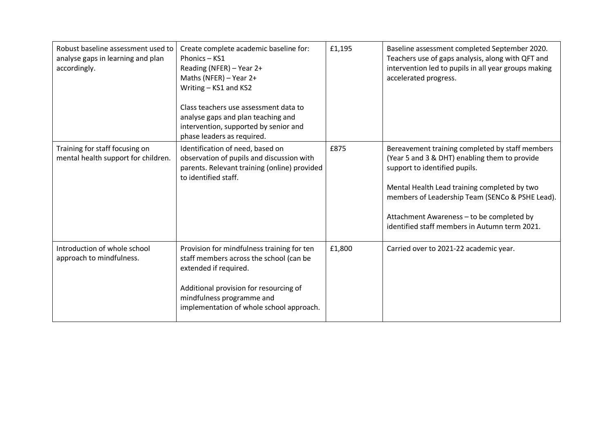| Robust baseline assessment used to<br>analyse gaps in learning and plan<br>accordingly. | Create complete academic baseline for:<br>Phonics - KS1<br>Reading (NFER) - Year 2+<br>Maths (NFER) - Year 2+<br>Writing - KS1 and KS2<br>Class teachers use assessment data to<br>analyse gaps and plan teaching and<br>intervention, supported by senior and<br>phase leaders as required. | £1,195 | Baseline assessment completed September 2020.<br>Teachers use of gaps analysis, along with QFT and<br>intervention led to pupils in all year groups making<br>accelerated progress.                                                                                                                                                |
|-----------------------------------------------------------------------------------------|----------------------------------------------------------------------------------------------------------------------------------------------------------------------------------------------------------------------------------------------------------------------------------------------|--------|------------------------------------------------------------------------------------------------------------------------------------------------------------------------------------------------------------------------------------------------------------------------------------------------------------------------------------|
| Training for staff focusing on<br>mental health support for children.                   | Identification of need, based on<br>observation of pupils and discussion with<br>parents. Relevant training (online) provided<br>to identified staff.                                                                                                                                        | £875   | Bereavement training completed by staff members<br>(Year 5 and 3 & DHT) enabling them to provide<br>support to identified pupils.<br>Mental Health Lead training completed by two<br>members of Leadership Team (SENCo & PSHE Lead).<br>Attachment Awareness - to be completed by<br>identified staff members in Autumn term 2021. |
| Introduction of whole school<br>approach to mindfulness.                                | Provision for mindfulness training for ten<br>staff members across the school (can be<br>extended if required.<br>Additional provision for resourcing of<br>mindfulness programme and<br>implementation of whole school approach.                                                            | £1,800 | Carried over to 2021-22 academic year.                                                                                                                                                                                                                                                                                             |